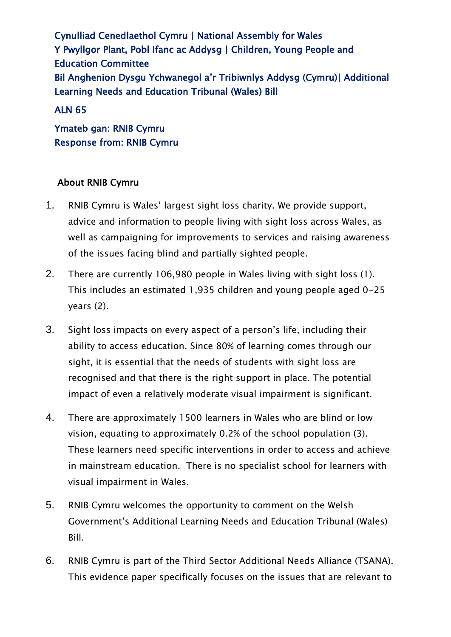Cynulliad Cenedlaethol Cymru | National Assembly for Wales Y Pwyllgor Plant, Pobl Ifanc ac Addysg | Children, Young People and Education Committee Bil Anghenion Dysgu Ychwanegol a'r Tribiwnlys Addysg (Cymru)| Additional Learning Needs and Education Tribunal (Wales) Bill

#### ALN 65

Ymateb gan: RNIB Cymru Response from: RNIB Cymru

### About RNIB Cymru

- 1. RNIB Cymru is Wales' largest sight loss charity. We provide support, advice and information to people living with sight loss across Wales, as well as campaigning for improvements to services and raising awareness of the issues facing blind and partially sighted people.
- 2. There are currently 106,980 people in Wales living with sight loss (1). This includes an estimated 1,935 children and young people aged 0-25 years (2).
- 3. Sight loss impacts on every aspect of a person's life, including their ability to access education. Since 80% of learning comes through our sight, it is essential that the needs of students with sight loss are recognised and that there is the right support in place. The potential impact of even a relatively moderate visual impairment is significant.
- 4. There are approximately 1500 learners in Wales who are blind or low vision, equating to approximately 0.2% of the school population (3). These learners need specific interventions in order to access and achieve in mainstream education. There is no specialist school for learners with visual impairment in Wales.
- 5. RNIB Cymru welcomes the opportunity to comment on the Welsh Government's Additional Learning Needs and Education Tribunal (Wales) Bill.
- 6. RNIB Cymru is part of the Third Sector Additional Needs Alliance (TSANA). This evidence paper specifically focuses on the issues that are relevant to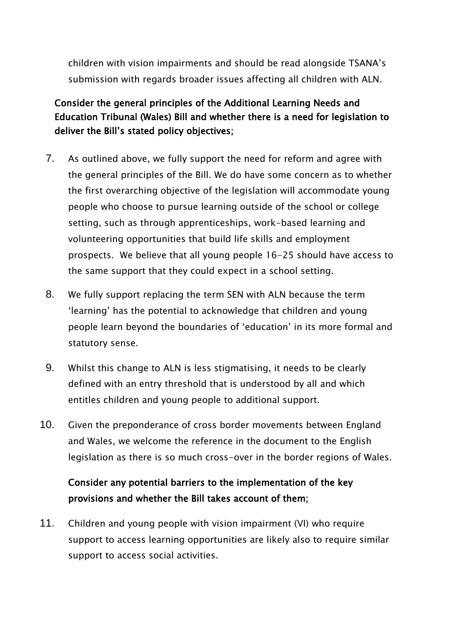children with vision impairments and should be read alongside TSANA's submission with regards broader issues affecting all children with ALN.

### Consider the general principles of the Additional Learning Needs and Education Tribunal (Wales) Bill and whether there is a need for legislation to deliver the Bill's stated policy objectives;

- 7. As outlined above, we fully support the need for reform and agree with the general principles of the Bill. We do have some concern as to whether the first overarching objective of the legislation will accommodate young people who choose to pursue learning outside of the school or college setting, such as through apprenticeships, work-based learning and volunteering opportunities that build life skills and employment prospects. We believe that all young people 16-25 should have access to the same support that they could expect in a school setting.
- 8. We fully support replacing the term SEN with ALN because the term 'learning' has the potential to acknowledge that children and young people learn beyond the boundaries of 'education' in its more formal and statutory sense.
- 9. Whilst this change to ALN is less stigmatising, it needs to be clearly defined with an entry threshold that is understood by all and which entitles children and young people to additional support.
- 10. Given the preponderance of cross border movements between England and Wales, we welcome the reference in the document to the English legislation as there is so much cross-over in the border regions of Wales.

## Consider any potential barriers to the implementation of the key provisions and whether the Bill takes account of them;

11. Children and young people with vision impairment (VI) who require support to access learning opportunities are likely also to require similar support to access social activities.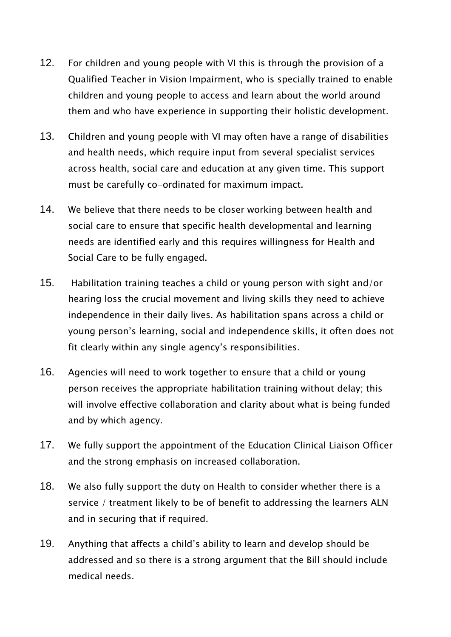- 12. For children and young people with VI this is through the provision of a Qualified Teacher in Vision Impairment, who is specially trained to enable children and young people to access and learn about the world around them and who have experience in supporting their holistic development.
- 13. Children and young people with VI may often have a range of disabilities and health needs, which require input from several specialist services across health, social care and education at any given time. This support must be carefully co-ordinated for maximum impact.
- 14. We believe that there needs to be closer working between health and social care to ensure that specific health developmental and learning needs are identified early and this requires willingness for Health and Social Care to be fully engaged.
- 15. Habilitation training teaches a child or young person with sight and/or hearing loss the crucial movement and living skills they need to achieve independence in their daily lives. As habilitation spans across a child or young person's learning, social and independence skills, it often does not fit clearly within any single agency's responsibilities.
- 16. Agencies will need to work together to ensure that a child or young person receives the appropriate habilitation training without delay; this will involve effective collaboration and clarity about what is being funded and by which agency.
- 17. We fully support the appointment of the Education Clinical Liaison Officer and the strong emphasis on increased collaboration.
- 18. We also fully support the duty on Health to consider whether there is a service / treatment likely to be of benefit to addressing the learners ALN and in securing that if required.
- 19. Anything that affects a child's ability to learn and develop should be addressed and so there is a strong argument that the Bill should include medical needs.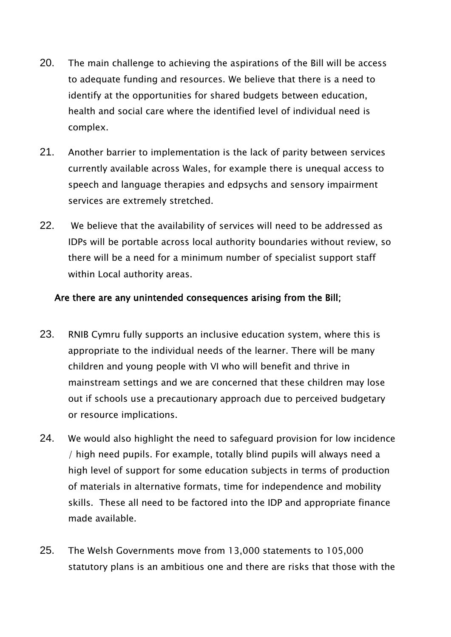- 20. The main challenge to achieving the aspirations of the Bill will be access to adequate funding and resources. We believe that there is a need to identify at the opportunities for shared budgets between education, health and social care where the identified level of individual need is complex.
- 21. Another barrier to implementation is the lack of parity between services currently available across Wales, for example there is unequal access to speech and language therapies and edpsychs and sensory impairment services are extremely stretched.
- 22. We believe that the availability of services will need to be addressed as IDPs will be portable across local authority boundaries without review, so there will be a need for a minimum number of specialist support staff within Local authority areas.

#### Are there are any unintended consequences arising from the Bill;

- 23. RNIB Cymru fully supports an inclusive education system, where this is appropriate to the individual needs of the learner. There will be many children and young people with VI who will benefit and thrive in mainstream settings and we are concerned that these children may lose out if schools use a precautionary approach due to perceived budgetary or resource implications.
- 24. We would also highlight the need to safeguard provision for low incidence / high need pupils. For example, totally blind pupils will always need a high level of support for some education subjects in terms of production of materials in alternative formats, time for independence and mobility skills. These all need to be factored into the IDP and appropriate finance made available.
- 25. The Welsh Governments move from 13,000 statements to 105,000 statutory plans is an ambitious one and there are risks that those with the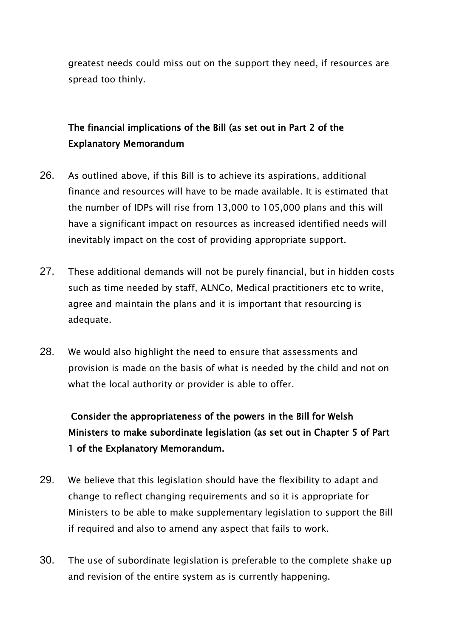greatest needs could miss out on the support they need, if resources are spread too thinly.

## The financial implications of the Bill (as set out in Part 2 of the Explanatory Memorandum

- 26. As outlined above, if this Bill is to achieve its aspirations, additional finance and resources will have to be made available. It is estimated that the number of IDPs will rise from 13,000 to 105,000 plans and this will have a significant impact on resources as increased identified needs will inevitably impact on the cost of providing appropriate support.
- 27. These additional demands will not be purely financial, but in hidden costs such as time needed by staff, ALNCo, Medical practitioners etc to write, agree and maintain the plans and it is important that resourcing is adequate.
- 28. We would also highlight the need to ensure that assessments and provision is made on the basis of what is needed by the child and not on what the local authority or provider is able to offer.

Consider the appropriateness of the powers in the Bill for Welsh Ministers to make subordinate legislation (as set out in Chapter 5 of Part 1 of the Explanatory Memorandum.

- 29. We believe that this legislation should have the flexibility to adapt and change to reflect changing requirements and so it is appropriate for Ministers to be able to make supplementary legislation to support the Bill if required and also to amend any aspect that fails to work.
- 30. The use of subordinate legislation is preferable to the complete shake up and revision of the entire system as is currently happening.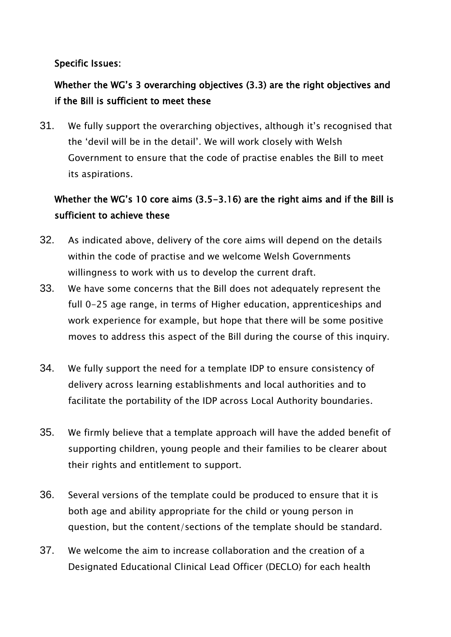### Specific Issues:

## Whether the WG's 3 overarching objectives (3.3) are the right objectives and if the Bill is sufficient to meet these

31. We fully support the overarching objectives, although it's recognised that the 'devil will be in the detail'. We will work closely with Welsh Government to ensure that the code of practise enables the Bill to meet its aspirations.

# Whether the WG's 10 core aims (3.5-3.16) are the right aims and if the Bill is sufficient to achieve these

- 32. As indicated above, delivery of the core aims will depend on the details within the code of practise and we welcome Welsh Governments willingness to work with us to develop the current draft.
- 33. We have some concerns that the Bill does not adequately represent the full 0-25 age range, in terms of Higher education, apprenticeships and work experience for example, but hope that there will be some positive moves to address this aspect of the Bill during the course of this inquiry.
- 34. We fully support the need for a template IDP to ensure consistency of delivery across learning establishments and local authorities and to facilitate the portability of the IDP across Local Authority boundaries.
- 35. We firmly believe that a template approach will have the added benefit of supporting children, young people and their families to be clearer about their rights and entitlement to support.
- 36. Several versions of the template could be produced to ensure that it is both age and ability appropriate for the child or young person in question, but the content/sections of the template should be standard.
- 37. We welcome the aim to increase collaboration and the creation of a Designated Educational Clinical Lead Officer (DECLO) for each health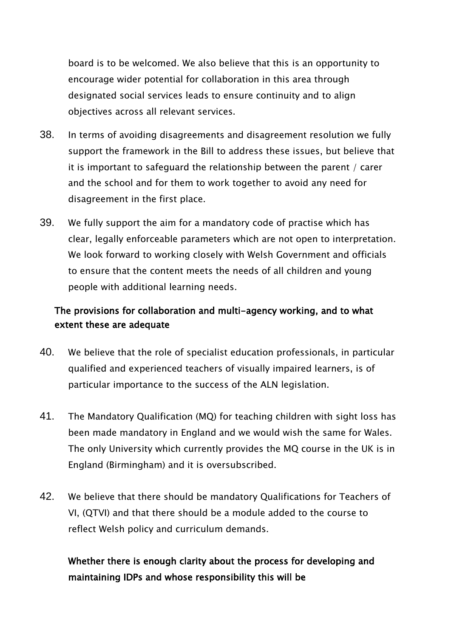board is to be welcomed. We also believe that this is an opportunity to encourage wider potential for collaboration in this area through designated social services leads to ensure continuity and to align objectives across all relevant services.

- 38. In terms of avoiding disagreements and disagreement resolution we fully support the framework in the Bill to address these issues, but believe that it is important to safeguard the relationship between the parent / carer and the school and for them to work together to avoid any need for disagreement in the first place.
- 39. We fully support the aim for a mandatory code of practise which has clear, legally enforceable parameters which are not open to interpretation. We look forward to working closely with Welsh Government and officials to ensure that the content meets the needs of all children and young people with additional learning needs.

### The provisions for collaboration and multi-agency working, and to what extent these are adequate

- 40. We believe that the role of specialist education professionals, in particular qualified and experienced teachers of visually impaired learners, is of particular importance to the success of the ALN legislation.
- 41. The Mandatory Qualification (MQ) for teaching children with sight loss has been made mandatory in England and we would wish the same for Wales. The only University which currently provides the MQ course in the UK is in England (Birmingham) and it is oversubscribed.
- 42. We believe that there should be mandatory Qualifications for Teachers of VI, (QTVI) and that there should be a module added to the course to reflect Welsh policy and curriculum demands.

## Whether there is enough clarity about the process for developing and maintaining IDPs and whose responsibility this will be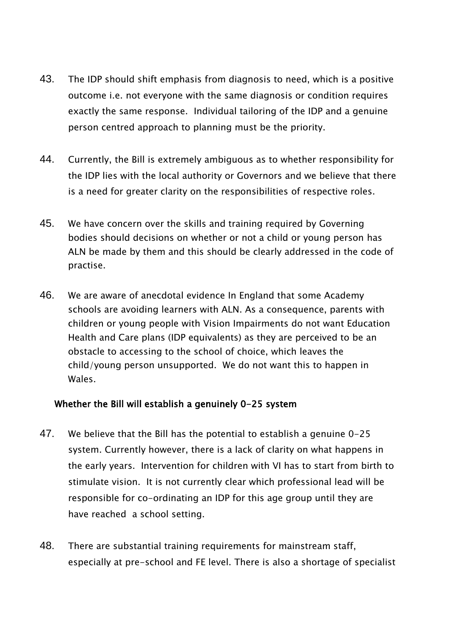- 43. The IDP should shift emphasis from diagnosis to need, which is a positive outcome i.e. not everyone with the same diagnosis or condition requires exactly the same response. Individual tailoring of the IDP and a genuine person centred approach to planning must be the priority.
- 44. Currently, the Bill is extremely ambiguous as to whether responsibility for the IDP lies with the local authority or Governors and we believe that there is a need for greater clarity on the responsibilities of respective roles.
- 45. We have concern over the skills and training required by Governing bodies should decisions on whether or not a child or young person has ALN be made by them and this should be clearly addressed in the code of practise.
- 46. We are aware of anecdotal evidence In England that some Academy schools are avoiding learners with ALN. As a consequence, parents with children or young people with Vision Impairments do not want Education Health and Care plans (IDP equivalents) as they are perceived to be an obstacle to accessing to the school of choice, which leaves the child/young person unsupported. We do not want this to happen in Wales.

#### Whether the Bill will establish a genuinely 0-25 system

- 47. We believe that the Bill has the potential to establish a genuine 0-25 system. Currently however, there is a lack of clarity on what happens in the early years. Intervention for children with VI has to start from birth to stimulate vision. It is not currently clear which professional lead will be responsible for co-ordinating an IDP for this age group until they are have reached a school setting.
- 48. There are substantial training requirements for mainstream staff, especially at pre-school and FE level. There is also a shortage of specialist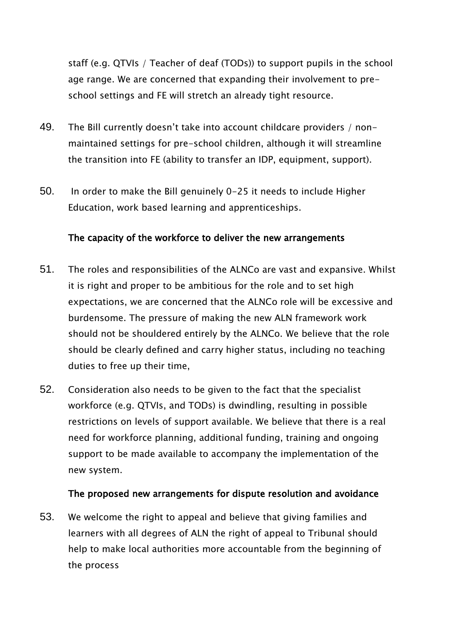staff (e.g. QTVIs / Teacher of deaf (TODs)) to support pupils in the school age range. We are concerned that expanding their involvement to preschool settings and FE will stretch an already tight resource.

- 49. The Bill currently doesn't take into account childcare providers / nonmaintained settings for pre-school children, although it will streamline the transition into FE (ability to transfer an IDP, equipment, support).
- 50. In order to make the Bill genuinely 0-25 it needs to include Higher Education, work based learning and apprenticeships.

### The capacity of the workforce to deliver the new arrangements

- 51. The roles and responsibilities of the ALNCo are vast and expansive. Whilst it is right and proper to be ambitious for the role and to set high expectations, we are concerned that the ALNCo role will be excessive and burdensome. The pressure of making the new ALN framework work should not be shouldered entirely by the ALNCo. We believe that the role should be clearly defined and carry higher status, including no teaching duties to free up their time,
- 52. Consideration also needs to be given to the fact that the specialist workforce (e.g. QTVIs, and TODs) is dwindling, resulting in possible restrictions on levels of support available. We believe that there is a real need for workforce planning, additional funding, training and ongoing support to be made available to accompany the implementation of the new system.

#### The proposed new arrangements for dispute resolution and avoidance

53. We welcome the right to appeal and believe that giving families and learners with all degrees of ALN the right of appeal to Tribunal should help to make local authorities more accountable from the beginning of the process